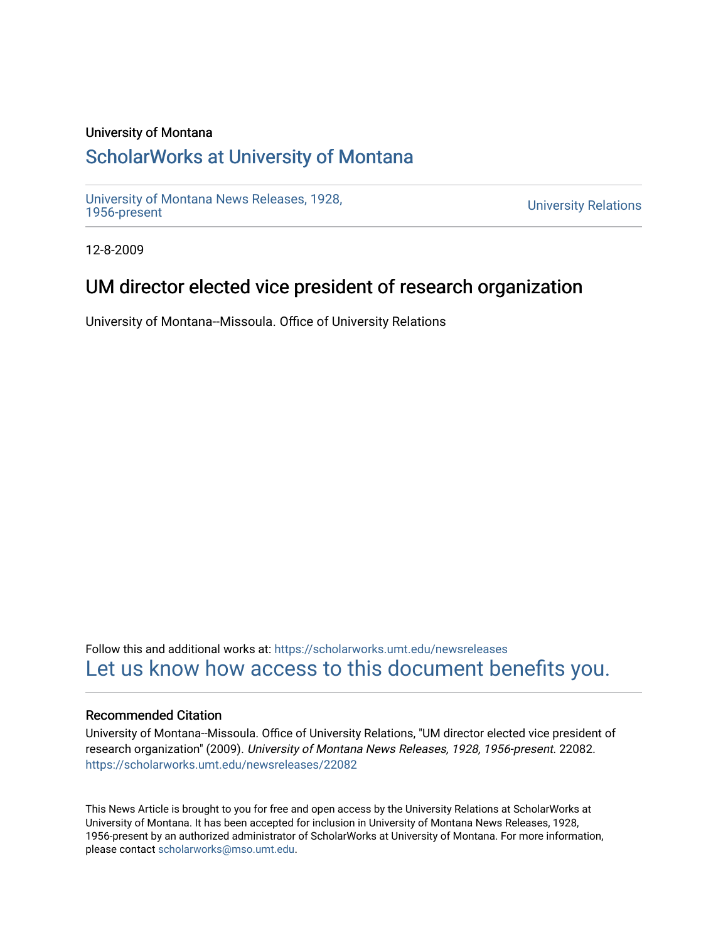#### University of Montana

# [ScholarWorks at University of Montana](https://scholarworks.umt.edu/)

[University of Montana News Releases, 1928,](https://scholarworks.umt.edu/newsreleases) 

**University Relations** 

12-8-2009

## UM director elected vice president of research organization

University of Montana--Missoula. Office of University Relations

Follow this and additional works at: [https://scholarworks.umt.edu/newsreleases](https://scholarworks.umt.edu/newsreleases?utm_source=scholarworks.umt.edu%2Fnewsreleases%2F22082&utm_medium=PDF&utm_campaign=PDFCoverPages) [Let us know how access to this document benefits you.](https://goo.gl/forms/s2rGfXOLzz71qgsB2) 

#### Recommended Citation

University of Montana--Missoula. Office of University Relations, "UM director elected vice president of research organization" (2009). University of Montana News Releases, 1928, 1956-present. 22082. [https://scholarworks.umt.edu/newsreleases/22082](https://scholarworks.umt.edu/newsreleases/22082?utm_source=scholarworks.umt.edu%2Fnewsreleases%2F22082&utm_medium=PDF&utm_campaign=PDFCoverPages) 

This News Article is brought to you for free and open access by the University Relations at ScholarWorks at University of Montana. It has been accepted for inclusion in University of Montana News Releases, 1928, 1956-present by an authorized administrator of ScholarWorks at University of Montana. For more information, please contact [scholarworks@mso.umt.edu.](mailto:scholarworks@mso.umt.edu)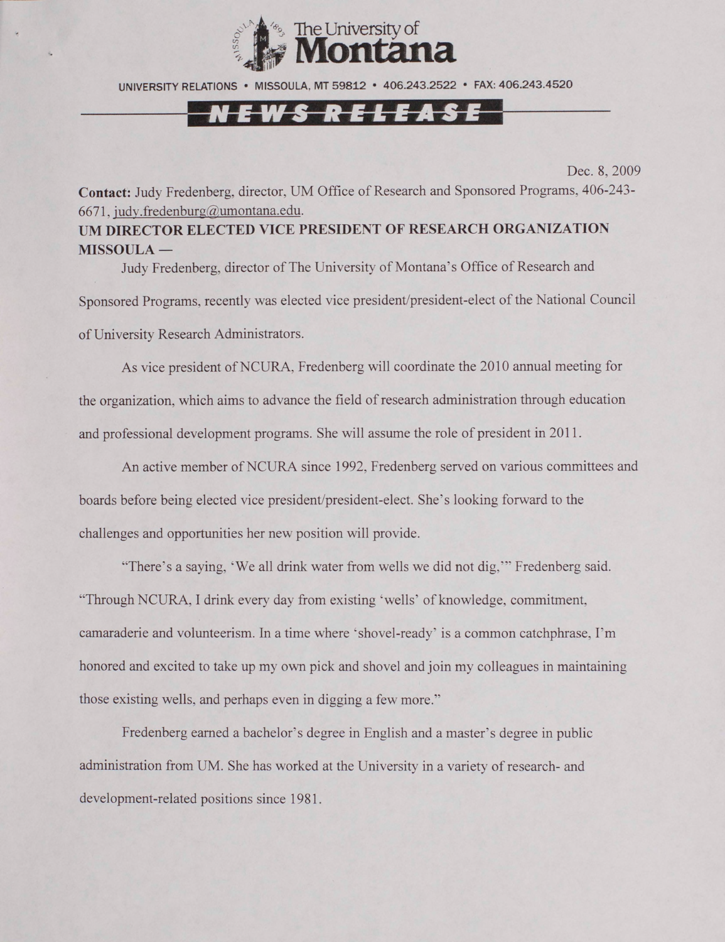

UNIVERSITY RELATIONS • MISSOULA. MT 59812 • 406.243.2522 • FAX: 406.243.4520

## *Releas*

Dec. 8, 2009

**Contact:** Judy Fredenberg. director, UM Office of Research and Sponsored Programs. 406-243- 6671. [iudv.fredenburg@umontana.edu](mailto:iudv.fredenburg@umontana.edu).

### **UM DIRECTOR ELECTED VICE PRESIDENT OF RESEARCH ORGANIZATION MISSOULA —**

Judy Fredenberg, director of The University of Montana's Office of Research and Sponsored Programs, recently was elected vice president/president-elect of the National Council of University Research Administrators.

As vice president of NCURA. Fredenberg will coordinate the 2010 annual meeting for the organization, which aims to advance the field of research administration through education and professional development programs. She will assume the role of president in 2011.

An active member of NCURA since 1992, Fredenberg served on various committees and boards before being elected vice president/president-elect. She's looking forward to the challenges and opportunities her new position will provide.

"There's a saying, 'We all drink water from wells we did not dig," ' Fredenberg said. "Through NCURA, I drink every day from existing 'wells' of knowledge, commitment, camaraderie and volunteerism. In a time where 'shovel-ready' is a common catchphrase. I'm honored and excited to take up my own pick and shovel and join my colleagues in maintaining those existing wells, and perhaps even in digging a few more."

Fredenberg earned a bachelor's degree in English and a master's degree in public administration from UM. She has worked at the University in a variety of research- and development-related positions since 1981.